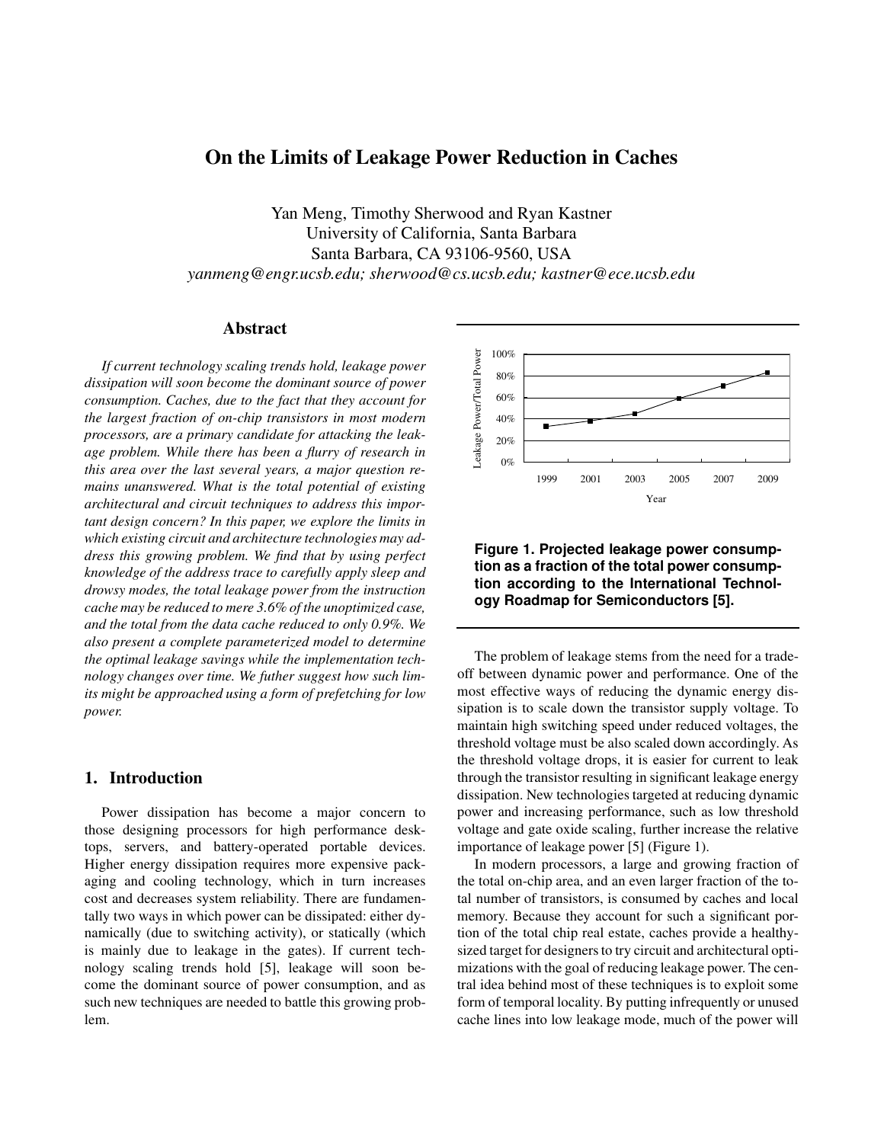# **On the Limits of Leakage Power Reduction in Caches**

Yan Meng, Timothy Sherwood and Ryan Kastner University of California, Santa Barbara Santa Barbara, CA 93106-9560, USA *yanmeng@engr.ucsb.edu; sherwood@cs.ucsb.edu; kastner@ece.ucsb.edu*

# **Abstract**

*If current technology scaling trends hold, leakage power dissipation will soon become the dominant source of power consumption. Caches, due to the fact that they account for the largest fraction of on-chip transistors in most modern processors, are a primary candidate for attacking the leakage problem. While there has been a flurry of research in this area over the last several years, a major question remains unanswered. What is the total potential of existing architectural and circuit techniques to address this important design concern? In this paper, we explore the limits in which existing circuit and architecture technologies may address this growing problem. We find that by using perfect knowledge of the address trace to carefully apply sleep and drowsy modes, the total leakage power from the instruction cache may be reduced to mere 3.6% of the unoptimized case, and the total from the data cache reduced to only 0.9%. We also present a complete parameterized model to determine the optimal leakage savings while the implementation technology changes over time. We futher suggest how such limits might be approached using a form of prefetching for low power.*

### **1. Introduction**

Power dissipation has become a major concern to those designing processors for high performance desktops, servers, and battery-operated portable devices. Higher energy dissipation requires more expensive packaging and cooling technology, which in turn increases cost and decreases system reliability. There are fundamentally two ways in which power can be dissipated: either dynamically (due to switching activity), or statically (which is mainly due to leakage in the gates). If current technology scaling trends hold [5], leakage will soon become the dominant source of power consumption, and as such new techniques are needed to battle this growing problem.



**Figure 1. Projected leakage power consumption as a fraction of the total power consumption according to the International Technology Roadmap for Semiconductors [5].**

The problem of leakage stems from the need for a tradeoff between dynamic power and performance. One of the most effective ways of reducing the dynamic energy dissipation is to scale down the transistor supply voltage. To maintain high switching speed under reduced voltages, the threshold voltage must be also scaled down accordingly. As the threshold voltage drops, it is easier for current to leak through the transistor resulting in significant leakage energy dissipation. New technologies targeted at reducing dynamic power and increasing performance, such as low threshold voltage and gate oxide scaling, further increase the relative importance of leakage power [5] (Figure 1).

In modern processors, a large and growing fraction of the total on-chip area, and an even larger fraction of the total number of transistors, is consumed by caches and local memory. Because they account for such a significant portion of the total chip real estate, caches provide a healthysized target for designers to try circuit and architectural optimizations with the goal of reducing leakage power. The central idea behind most of these techniques is to exploit some form of temporal locality. By putting infrequently or unused cache lines into low leakage mode, much of the power will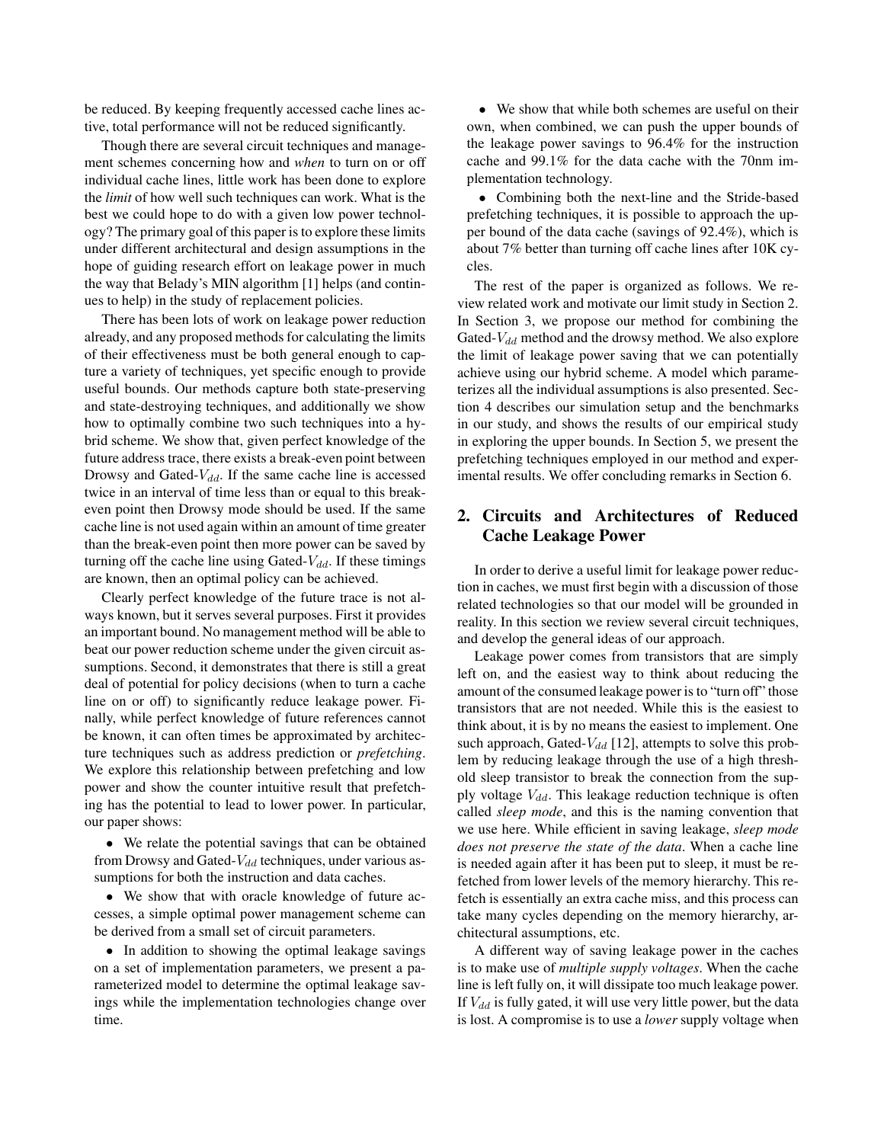be reduced. By keeping frequently accessed cache lines active, total performance will not be reduced significantly.

Though there are several circuit techniques and management schemes concerning how and *when* to turn on or off individual cache lines, little work has been done to explore the *limit* of how well such techniques can work. What is the best we could hope to do with a given low power technology? The primary goal of this paper is to explore these limits under different architectural and design assumptions in the hope of guiding research effort on leakage power in much the way that Belady's MIN algorithm [1] helps (and continues to help) in the study of replacement policies.

There has been lots of work on leakage power reduction already, and any proposed methods for calculating the limits of their effectiveness must be both general enough to capture a variety of techniques, yet specific enough to provide useful bounds. Our methods capture both state-preserving and state-destroying techniques, and additionally we show how to optimally combine two such techniques into a hybrid scheme. We show that, given perfect knowledge of the future address trace, there exists a break-even point between Drowsy and Gated- $V_{dd}$ . If the same cache line is accessed twice in an interval of time less than or equal to this breakeven point then Drowsy mode should be used. If the same cache line is not used again within an amount of time greater than the break-even point then more power can be saved by turning off the cache line using Gated- $V_{dd}$ . If these timings are known, then an optimal policy can be achieved.

Clearly perfect knowledge of the future trace is not always known, but it serves several purposes. First it provides an important bound. No management method will be able to beat our power reduction scheme under the given circuit assumptions. Second, it demonstrates that there is still a great deal of potential for policy decisions (when to turn a cache line on or off) to significantly reduce leakage power. Finally, while perfect knowledge of future references cannot be known, it can often times be approximated by architecture techniques such as address prediction or *prefetching*. We explore this relationship between prefetching and low power and show the counter intuitive result that prefetching has the potential to lead to lower power. In particular, our paper shows:

• We relate the potential savings that can be obtained from Drowsy and Gated- $V_{dd}$  techniques, under various assumptions for both the instruction and data caches.

• We show that with oracle knowledge of future accesses, a simple optimal power management scheme can be derived from a small set of circuit parameters.

• In addition to showing the optimal leakage savings on a set of implementation parameters, we present a parameterized model to determine the optimal leakage savings while the implementation technologies change over time.

• We show that while both schemes are useful on their own, when combined, we can push the upper bounds of the leakage power savings to 96.4% for the instruction cache and 99.1% for the data cache with the 70nm implementation technology.

• Combining both the next-line and the Stride-based prefetching techniques, it is possible to approach the upper bound of the data cache (savings of 92.4%), which is about 7% better than turning off cache lines after 10K cycles.

The rest of the paper is organized as follows. We review related work and motivate our limit study in Section 2. In Section 3, we propose our method for combining the Gated- $V_{dd}$  method and the drowsy method. We also explore the limit of leakage power saving that we can potentially achieve using our hybrid scheme. A model which parameterizes all the individual assumptions is also presented. Section 4 describes our simulation setup and the benchmarks in our study, and shows the results of our empirical study in exploring the upper bounds. In Section 5, we present the prefetching techniques employed in our method and experimental results. We offer concluding remarks in Section 6.

# **2. Circuits and Architectures of Reduced Cache Leakage Power**

In order to derive a useful limit for leakage power reduction in caches, we must first begin with a discussion of those related technologies so that our model will be grounded in reality. In this section we review several circuit techniques, and develop the general ideas of our approach.

Leakage power comes from transistors that are simply left on, and the easiest way to think about reducing the amount of the consumed leakage power is to "turn off" those transistors that are not needed. While this is the easiest to think about, it is by no means the easiest to implement. One such approach, Gated- $V_{dd}$  [12], attempts to solve this problem by reducing leakage through the use of a high threshold sleep transistor to break the connection from the supply voltage  $V_{dd}$ . This leakage reduction technique is often called *sleep mode*, and this is the naming convention that we use here. While efficient in saving leakage, *sleep mode does not preserve the state of the data*. When a cache line is needed again after it has been put to sleep, it must be refetched from lower levels of the memory hierarchy. This refetch is essentially an extra cache miss, and this process can take many cycles depending on the memory hierarchy, architectural assumptions, etc.

A different way of saving leakage power in the caches is to make use of *multiple supply voltages*. When the cache line is left fully on, it will dissipate too much leakage power. If  $V_{dd}$  is fully gated, it will use very little power, but the data is lost. A compromise is to use a *lower* supply voltage when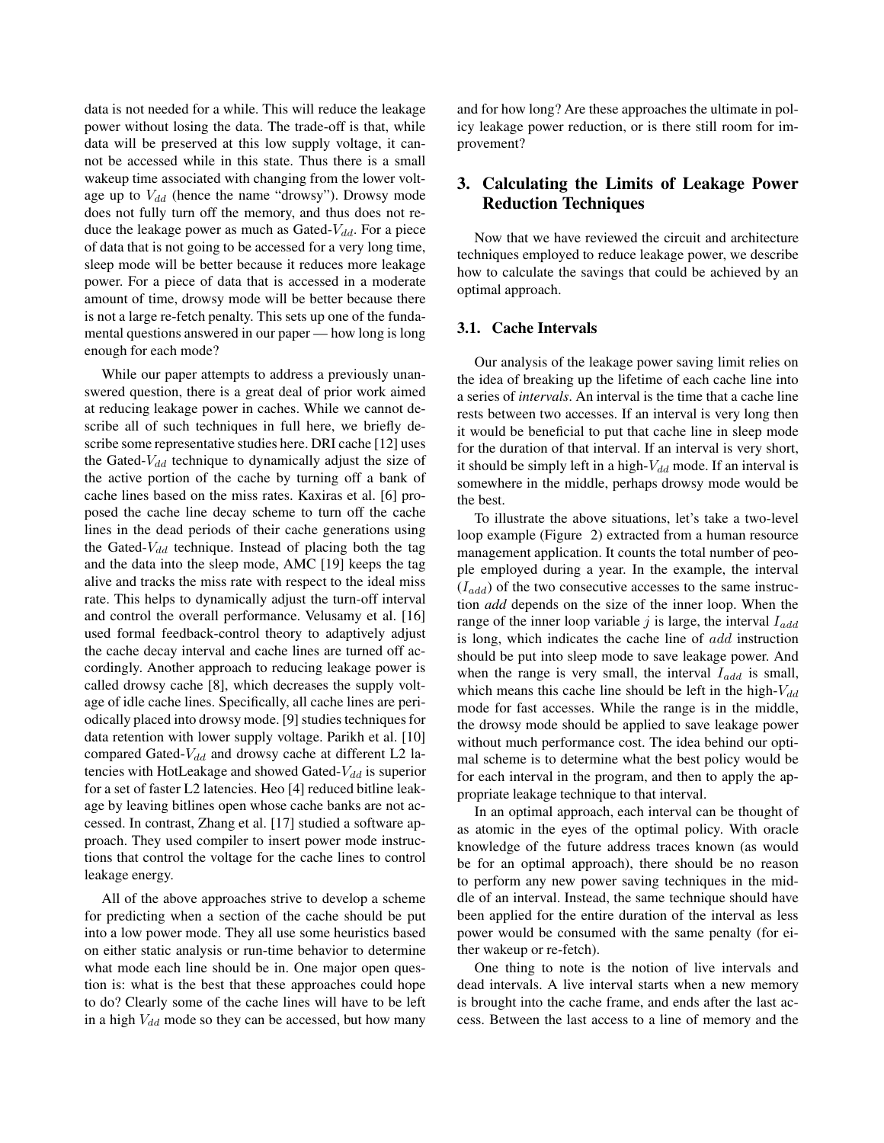data is not needed for a while. This will reduce the leakage power without losing the data. The trade-off is that, while data will be preserved at this low supply voltage, it cannot be accessed while in this state. Thus there is a small wakeup time associated with changing from the lower voltage up to  $V_{dd}$  (hence the name "drowsy"). Drowsy mode does not fully turn off the memory, and thus does not reduce the leakage power as much as Gated- $V_{dd}$ . For a piece of data that is not going to be accessed for a very long time, sleep mode will be better because it reduces more leakage power. For a piece of data that is accessed in a moderate amount of time, drowsy mode will be better because there is not a large re-fetch penalty. This sets up one of the fundamental questions answered in our paper — how long is long enough for each mode?

While our paper attempts to address a previously unanswered question, there is a great deal of prior work aimed at reducing leakage power in caches. While we cannot describe all of such techniques in full here, we briefly describe some representative studies here. DRI cache [12] uses the Gated- $V_{dd}$  technique to dynamically adjust the size of the active portion of the cache by turning off a bank of cache lines based on the miss rates. Kaxiras et al. [6] proposed the cache line decay scheme to turn off the cache lines in the dead periods of their cache generations using the Gated- $V_{dd}$  technique. Instead of placing both the tag and the data into the sleep mode, AMC [19] keeps the tag alive and tracks the miss rate with respect to the ideal miss rate. This helps to dynamically adjust the turn-off interval and control the overall performance. Velusamy et al. [16] used formal feedback-control theory to adaptively adjust the cache decay interval and cache lines are turned off accordingly. Another approach to reducing leakage power is called drowsy cache [8], which decreases the supply voltage of idle cache lines. Specifically, all cache lines are periodically placed into drowsy mode. [9] studies techniquesfor data retention with lower supply voltage. Parikh et al. [10] compared Gated- $V_{dd}$  and drowsy cache at different L2 latencies with HotLeakage and showed Gated- $V_{dd}$  is superior for a set of faster L2 latencies. Heo [4] reduced bitline leakage by leaving bitlines open whose cache banks are not accessed. In contrast, Zhang et al. [17] studied a software approach. They used compiler to insert power mode instructions that control the voltage for the cache lines to control leakage energy.

All of the above approaches strive to develop a scheme for predicting when a section of the cache should be put into a low power mode. They all use some heuristics based on either static analysis or run-time behavior to determine what mode each line should be in. One major open question is: what is the best that these approaches could hope to do? Clearly some of the cache lines will have to be left in a high  $V_{dd}$  mode so they can be accessed, but how many

and for how long? Are these approaches the ultimate in policy leakage power reduction, or is there still room for improvement?

## **3. Calculating the Limits of Leakage Power Reduction Techniques**

Now that we have reviewed the circuit and architecture techniques employed to reduce leakage power, we describe how to calculate the savings that could be achieved by an optimal approach.

#### **3.1. Cache Intervals**

Our analysis of the leakage power saving limit relies on the idea of breaking up the lifetime of each cache line into a series of *intervals*. An interval is the time that a cache line rests between two accesses. If an interval is very long then it would be beneficial to put that cache line in sleep mode for the duration of that interval. If an interval is very short, it should be simply left in a high- $V_{dd}$  mode. If an interval is somewhere in the middle, perhaps drowsy mode would be the best.

To illustrate the above situations, let's take a two-level loop example (Figure 2) extracted from a human resource management application. It counts the total number of people employed during a year. In the example, the interval  $(I_{add})$  of the two consecutive accesses to the same instruction *add* depends on the size of the inner loop. When the range of the inner loop variable  $j$  is large, the interval  $I_{add}$ is long, which indicates the cache line of add instruction should be put into sleep mode to save leakage power. And when the range is very small, the interval  $I_{add}$  is small, which means this cache line should be left in the high- $V_{dd}$ mode for fast accesses. While the range is in the middle, the drowsy mode should be applied to save leakage power without much performance cost. The idea behind our optimal scheme is to determine what the best policy would be for each interval in the program, and then to apply the appropriate leakage technique to that interval.

In an optimal approach, each interval can be thought of as atomic in the eyes of the optimal policy. With oracle knowledge of the future address traces known (as would be for an optimal approach), there should be no reason to perform any new power saving techniques in the middle of an interval. Instead, the same technique should have been applied for the entire duration of the interval as less power would be consumed with the same penalty (for either wakeup or re-fetch).

One thing to note is the notion of live intervals and dead intervals. A live interval starts when a new memory is brought into the cache frame, and ends after the last access. Between the last access to a line of memory and the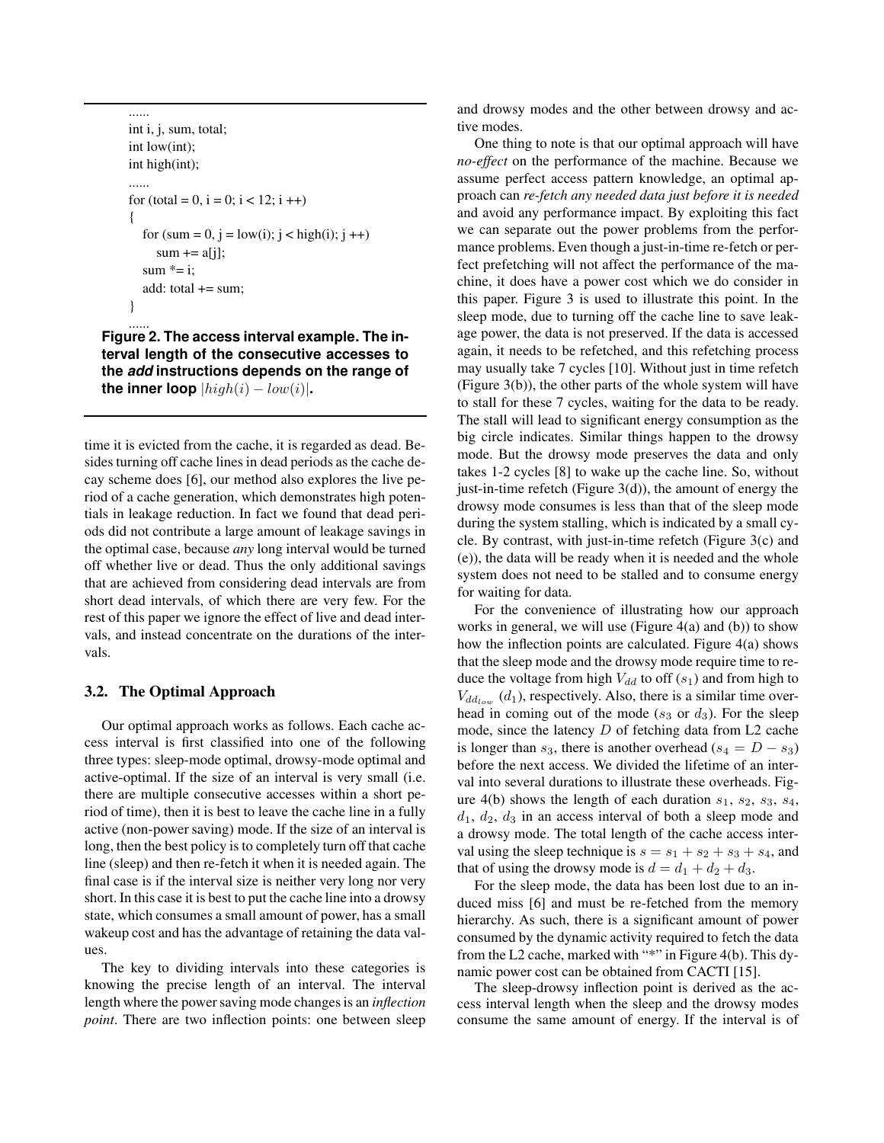```
......

int i, j, sum, total;

int low(int);

int high(int);

......

for (total = 0, i = 0; i < 12; i ++)
{

  for (sum = 0, j = low(i); j < high(i); j++)sum += a[j];sum *= i;
  add: total += sum;
}
```
...... **Figure 2. The access interval example. The interval length of the consecutive accesses to the add instructions depends on the range of the inner loop**  $\vert high(i) - low(i) \vert$ .

time it is evicted from the cache, it is regarded as dead. Besides turning off cache lines in dead periods as the cache decay scheme does [6], our method also explores the live period of a cache generation, which demonstrates high potentials in leakage reduction. In fact we found that dead periods did not contribute a large amount of leakage savings in the optimal case, because *any* long interval would be turned off whether live or dead. Thus the only additional savings that are achieved from considering dead intervals are from short dead intervals, of which there are very few. For the rest of this paper we ignore the effect of live and dead intervals, and instead concentrate on the durations of the intervals.

#### **3.2. The Optimal Approach**

Our optimal approach works as follows. Each cache access interval is first classified into one of the following three types: sleep-mode optimal, drowsy-mode optimal and active-optimal. If the size of an interval is very small (i.e. there are multiple consecutive accesses within a short period of time), then it is best to leave the cache line in a fully active (non-power saving) mode. If the size of an interval is long, then the best policy is to completely turn off that cache line (sleep) and then re-fetch it when it is needed again. The final case is if the interval size is neither very long nor very short. In this case it is best to put the cache line into a drowsy state, which consumes a small amount of power, has a small wakeup cost and has the advantage of retaining the data values.

The key to dividing intervals into these categories is knowing the precise length of an interval. The interval length where the power saving mode changes is an *inflection point*. There are two inflection points: one between sleep and drowsy modes and the other between drowsy and active modes.

One thing to note is that our optimal approach will have *no-effect* on the performance of the machine. Because we assume perfect access pattern knowledge, an optimal approach can *re-fetch any needed data just before it is needed* and avoid any performance impact. By exploiting this fact we can separate out the power problems from the performance problems. Even though a just-in-time re-fetch or perfect prefetching will not affect the performance of the machine, it does have a power cost which we do consider in this paper. Figure 3 is used to illustrate this point. In the sleep mode, due to turning off the cache line to save leakage power, the data is not preserved. If the data is accessed again, it needs to be refetched, and this refetching process may usually take 7 cycles [10]. Without just in time refetch (Figure 3(b)), the other parts of the whole system will have to stall for these 7 cycles, waiting for the data to be ready. The stall will lead to significant energy consumption as the big circle indicates. Similar things happen to the drowsy mode. But the drowsy mode preserves the data and only takes 1-2 cycles [8] to wake up the cache line. So, without just-in-time refetch (Figure 3(d)), the amount of energy the drowsy mode consumes is less than that of the sleep mode during the system stalling, which is indicated by a small cycle. By contrast, with just-in-time refetch (Figure 3(c) and (e)), the data will be ready when it is needed and the whole system does not need to be stalled and to consume energy for waiting for data.

For the convenience of illustrating how our approach works in general, we will use (Figure  $4(a)$  and (b)) to show how the inflection points are calculated. Figure 4(a) shows that the sleep mode and the drowsy mode require time to reduce the voltage from high  $V_{dd}$  to off  $(s_1)$  and from high to  $V_{dd_{low}}(d_1)$ , respectively. Also, there is a similar time overhead in coming out of the mode ( $s_3$  or  $d_3$ ). For the sleep mode, since the latency  $D$  of fetching data from L2 cache is longer than  $s_3$ , there is another overhead ( $s_4 = D - s_3$ ) before the next access. We divided the lifetime of an interval into several durations to illustrate these overheads. Figure 4(b) shows the length of each duration  $s_1$ ,  $s_2$ ,  $s_3$ ,  $s_4$ ,  $d_1, d_2, d_3$  in an access interval of both a sleep mode and a drowsy mode. The total length of the cache access interval using the sleep technique is  $s = s_1 + s_2 + s_3 + s_4$ , and that of using the drowsy mode is  $d = d_1 + d_2 + d_3$ .

For the sleep mode, the data has been lost due to an induced miss [6] and must be re-fetched from the memory hierarchy. As such, there is a significant amount of power consumed by the dynamic activity required to fetch the data from the L2 cache, marked with "\*" in Figure 4(b). This dynamic power cost can be obtained from CACTI [15].

The sleep-drowsy inflection point is derived as the access interval length when the sleep and the drowsy modes consume the same amount of energy. If the interval is of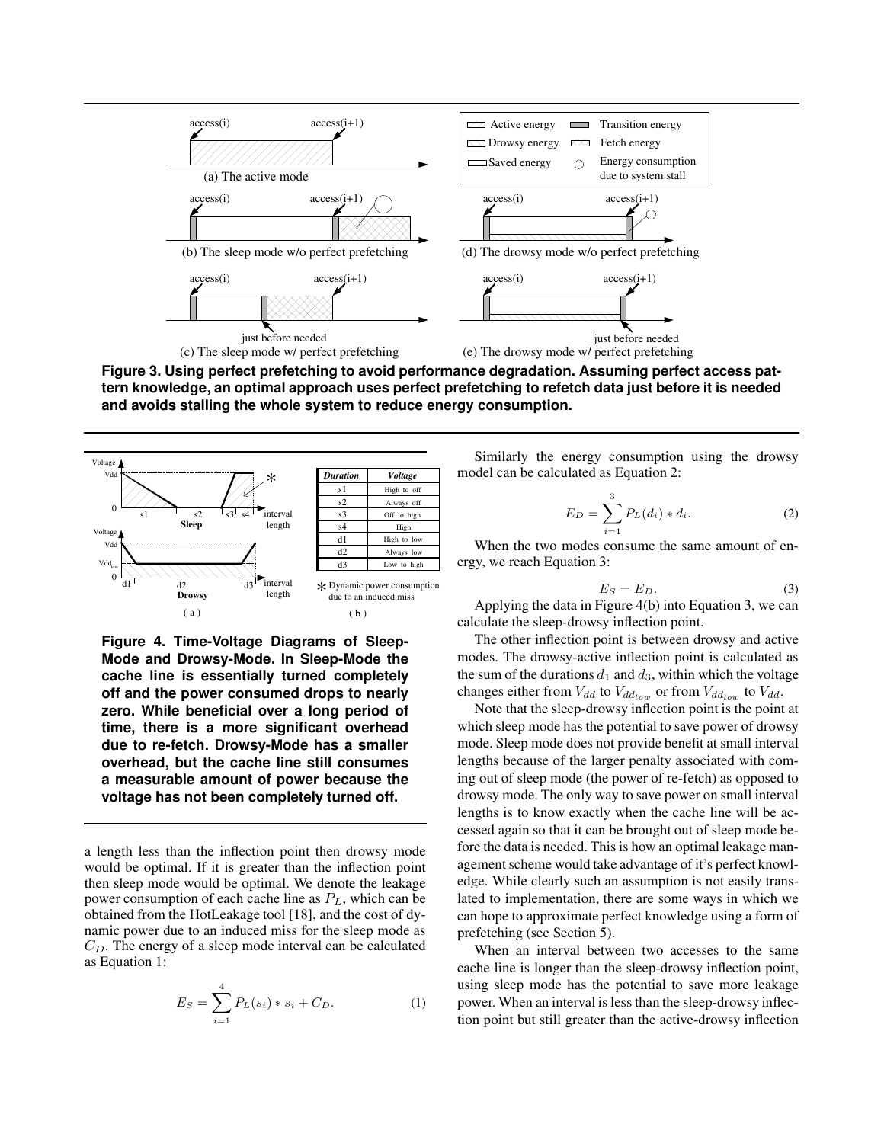

**Figure 3. Using perfect prefetching to avoid performance degradation. Assuming perfect access pattern knowledge, an optimal approach uses perfect prefetching to refetch data just before it is needed and avoids stalling the whole system to reduce energy consumption.**



**Figure 4. Time-Voltage Diagrams of Sleep-Mode and Drowsy-Mode. In Sleep-Mode the cache line is essentially turned completely off and the power consumed drops to nearly zero. While beneficial over a long period of time, there is a more significant overhead due to re-fetch. Drowsy-Mode has a smaller overhead, but the cache line still consumes a measurable amount of power because the voltage has not been completely turned off.**

a length less than the inflection point then drowsy mode would be optimal. If it is greater than the inflection point then sleep mode would be optimal. We denote the leakage power consumption of each cache line as  $P_L$ , which can be obtained from the HotLeakage tool [18], and the cost of dynamic power due to an induced miss for the sleep mode as  $C_D$ . The energy of a sleep mode interval can be calculated as Equation 1:

$$
E_S = \sum_{i=1}^{4} P_L(s_i) * s_i + C_D.
$$
 (1)

model can be calculated as Equation 2:

$$
E_D = \sum_{i=1}^{3} P_L(d_i) * d_i.
$$
 (2)

When the two modes consume the same amount of en-

$$
E_S = E_D. \t\t(3)
$$

Applying the data in Figure 4(b) into Equation 3, we can calculate the sleep-drowsy inflection point.

The other inflection point is between drowsy and active modes. The drowsy-active inflection point is calculated as the sum of the durations  $d_1$  and  $d_3$ , within which the voltage changes either from  $V_{dd}$  to  $V_{dd}$  or from  $V_{dd}$  to  $V_{dd}$ .

Note that the sleep-drowsy inflection point is the point at which sleep mode has the potential to save power of drowsy mode. Sleep mode does not provide benefit at small interval lengths because of the larger penalty associated with coming out of sleep mode (the power of re-fetch) as opposed to drowsy mode. The only way to save power on small interval lengths is to know exactly when the cache line will be accessed again so that it can be brought out of sleep mode before the data is needed. This is how an optimal leakage management scheme would take advantage of it's perfect knowledge. While clearly such an assumption is not easily translated to implementation, there are some ways in which we can hope to approximate perfect knowledge using a form of prefetching (see Section 5).

When an interval between two accesses to the same cache line is longer than the sleep-drowsy inflection point, using sleep mode has the potential to save more leakage power. When an interval is less than the sleep-drowsy inflection point but still greater than the active-drowsy inflection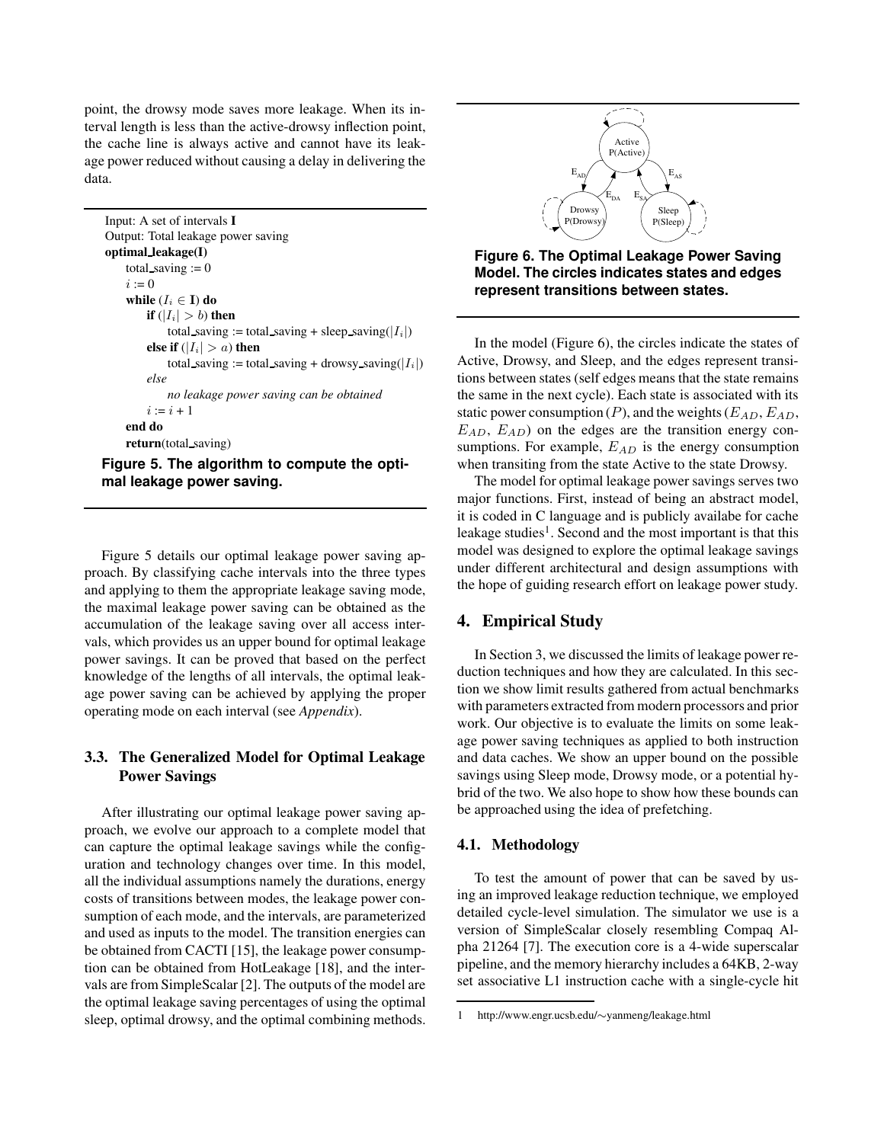point, the drowsy mode saves more leakage. When its interval length is less than the active-drowsy inflection point, the cache line is always active and cannot have its leakage power reduced without causing a delay in delivering the data.

```
Input: A set of intervals I
Output: Total leakage power saving
optimal leakage(I)
    total_saving := 0i := 0while (I_i \in I) do
        if (|I_i| > b) then
            total saving := total saving + sleep saving(|I_i|)
        else if (|I_i| > a) then
            total_saving := total_saving + drowsy_saving(|I_i|)
        else
            no leakage power saving can be obtained
        i := i + 1end do
    return(total saving)
```
**Figure 5. The algorithm to compute the optimal leakage power saving.**

Figure 5 details our optimal leakage power saving approach. By classifying cache intervals into the three types and applying to them the appropriate leakage saving mode, the maximal leakage power saving can be obtained as the accumulation of the leakage saving over all access intervals, which provides us an upper bound for optimal leakage power savings. It can be proved that based on the perfect knowledge of the lengths of all intervals, the optimal leakage power saving can be achieved by applying the proper operating mode on each interval (see *Appendix*).

### **3.3. The Generalized Model for Optimal Leakage Power Savings**

After illustrating our optimal leakage power saving approach, we evolve our approach to a complete model that can capture the optimal leakage savings while the configuration and technology changes over time. In this model, all the individual assumptions namely the durations, energy costs of transitions between modes, the leakage power consumption of each mode, and the intervals, are parameterized and used as inputs to the model. The transition energies can be obtained from CACTI [15], the leakage power consumption can be obtained from HotLeakage [18], and the intervals are from SimpleScalar [2]. The outputs of the model are the optimal leakage saving percentages of using the optimal sleep, optimal drowsy, and the optimal combining methods.



**Figure 6. The Optimal Leakage Power Saving Model. The circles indicates states and edges represent transitions between states.**

In the model (Figure 6), the circles indicate the states of Active, Drowsy, and Sleep, and the edges represent transitions between states (self edges means that the state remains the same in the next cycle). Each state is associated with its static power consumption (P), and the weights ( $E_{AD}$ ,  $E_{AD}$ ,  $E_{AD}$ ,  $E_{AD}$ ) on the edges are the transition energy consumptions. For example,  $E_{AD}$  is the energy consumption when transiting from the state Active to the state Drowsy.

The model for optimal leakage power savings serves two major functions. First, instead of being an abstract model, it is coded in C language and is publicly availabe for cache leakage studies<sup>1</sup>. Second and the most important is that this model was designed to explore the optimal leakage savings under different architectural and design assumptions with the hope of guiding research effort on leakage power study.

# **4. Empirical Study**

In Section 3, we discussed the limits of leakage power reduction techniques and how they are calculated. In this section we show limit results gathered from actual benchmarks with parameters extracted from modern processors and prior work. Our objective is to evaluate the limits on some leakage power saving techniques as applied to both instruction and data caches. We show an upper bound on the possible savings using Sleep mode, Drowsy mode, or a potential hybrid of the two. We also hope to show how these bounds can be approached using the idea of prefetching.

### **4.1. Methodology**

To test the amount of power that can be saved by using an improved leakage reduction technique, we employed detailed cycle-level simulation. The simulator we use is a version of SimpleScalar closely resembling Compaq Alpha 21264 [7]. The execution core is a 4-wide superscalar pipeline, and the memory hierarchy includes a 64KB, 2-way set associative L1 instruction cache with a single-cycle hit

<sup>1</sup> http://www.engr.ucsb.edu/∼yanmeng/leakage.html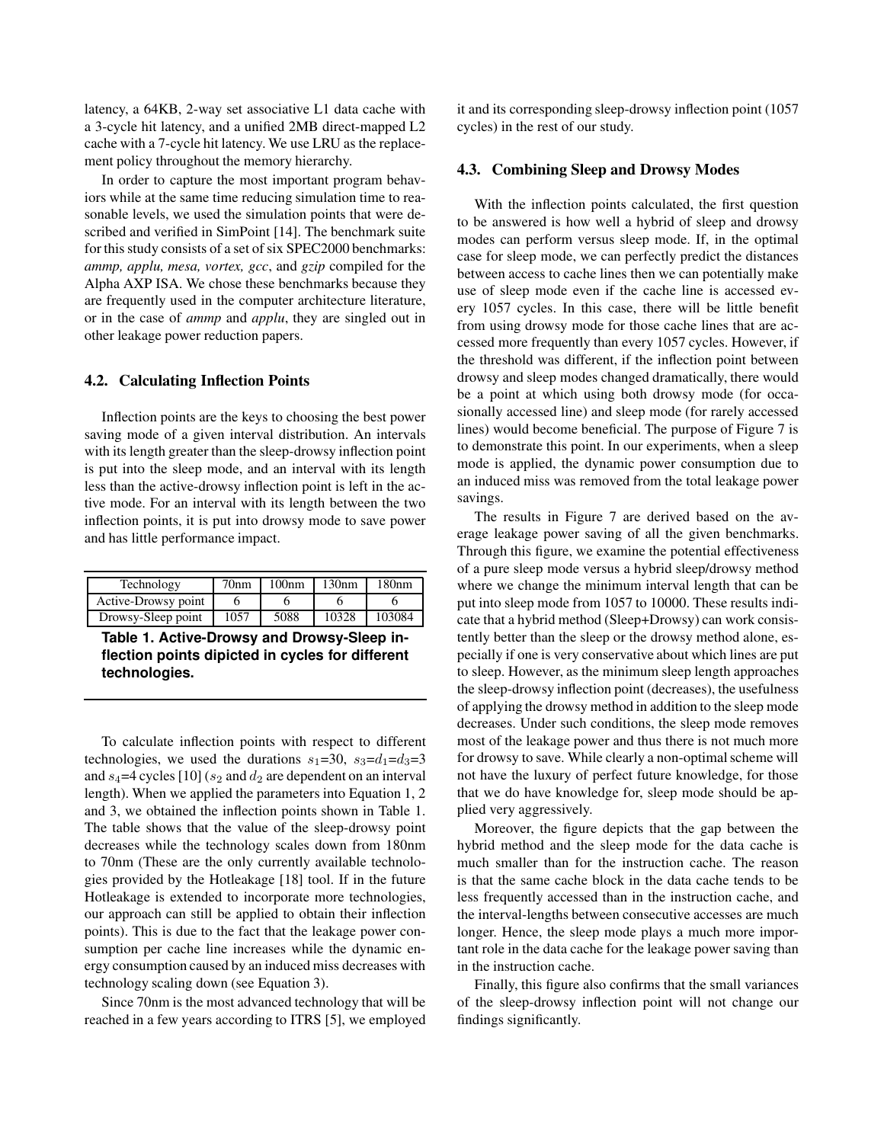latency, a 64KB, 2-way set associative L1 data cache with a 3-cycle hit latency, and a unified 2MB direct-mapped L2 cache with a 7-cycle hit latency. We use LRU as the replacement policy throughout the memory hierarchy.

In order to capture the most important program behaviors while at the same time reducing simulation time to reasonable levels, we used the simulation points that were described and verified in SimPoint [14]. The benchmark suite for this study consists of a set of six SPEC2000 benchmarks: *ammp, applu, mesa, vortex, gcc*, and *gzip* compiled for the Alpha AXP ISA. We chose these benchmarks because they are frequently used in the computer architecture literature, or in the case of *ammp* and *applu*, they are singled out in other leakage power reduction papers.

### **4.2. Calculating Inflection Points**

Inflection points are the keys to choosing the best power saving mode of a given interval distribution. An intervals with its length greater than the sleep-drowsy inflection point is put into the sleep mode, and an interval with its length less than the active-drowsy inflection point is left in the active mode. For an interval with its length between the two inflection points, it is put into drowsy mode to save power and has little performance impact.

| Technology          | 70nm | 100nm | 130nm | 180nm  |
|---------------------|------|-------|-------|--------|
| Active-Drowsy point |      |       |       |        |
| Drowsy-Sleep point  | 1057 | 5088  | 10328 | 103084 |

**Table 1. Active-Drowsy and Drowsy-Sleep inflection points dipicted in cycles for different technologies.**

To calculate inflection points with respect to different technologies, we used the durations  $s_1=30$ ,  $s_3=d_1=d_3=3$ and  $s_4$ =4 cycles [10] ( $s_2$  and  $d_2$  are dependent on an interval length). When we applied the parameters into Equation 1, 2 and 3, we obtained the inflection points shown in Table 1. The table shows that the value of the sleep-drowsy point decreases while the technology scales down from 180nm to 70nm (These are the only currently available technologies provided by the Hotleakage [18] tool. If in the future Hotleakage is extended to incorporate more technologies, our approach can still be applied to obtain their inflection points). This is due to the fact that the leakage power consumption per cache line increases while the dynamic energy consumption caused by an induced miss decreases with technology scaling down (see Equation 3).

Since 70nm is the most advanced technology that will be reached in a few years according to ITRS [5], we employed it and its corresponding sleep-drowsy inflection point (1057 cycles) in the rest of our study.

### **4.3. Combining Sleep and Drowsy Modes**

With the inflection points calculated, the first question to be answered is how well a hybrid of sleep and drowsy modes can perform versus sleep mode. If, in the optimal case for sleep mode, we can perfectly predict the distances between access to cache lines then we can potentially make use of sleep mode even if the cache line is accessed every 1057 cycles. In this case, there will be little benefit from using drowsy mode for those cache lines that are accessed more frequently than every 1057 cycles. However, if the threshold was different, if the inflection point between drowsy and sleep modes changed dramatically, there would be a point at which using both drowsy mode (for occasionally accessed line) and sleep mode (for rarely accessed lines) would become beneficial. The purpose of Figure 7 is to demonstrate this point. In our experiments, when a sleep mode is applied, the dynamic power consumption due to an induced miss was removed from the total leakage power savings.

The results in Figure 7 are derived based on the average leakage power saving of all the given benchmarks. Through this figure, we examine the potential effectiveness of a pure sleep mode versus a hybrid sleep/drowsy method where we change the minimum interval length that can be put into sleep mode from 1057 to 10000. These results indicate that a hybrid method (Sleep+Drowsy) can work consistently better than the sleep or the drowsy method alone, especially if one is very conservative about which lines are put to sleep. However, as the minimum sleep length approaches the sleep-drowsy inflection point (decreases), the usefulness of applying the drowsy method in addition to the sleep mode decreases. Under such conditions, the sleep mode removes most of the leakage power and thus there is not much more for drowsy to save. While clearly a non-optimal scheme will not have the luxury of perfect future knowledge, for those that we do have knowledge for, sleep mode should be applied very aggressively.

Moreover, the figure depicts that the gap between the hybrid method and the sleep mode for the data cache is much smaller than for the instruction cache. The reason is that the same cache block in the data cache tends to be less frequently accessed than in the instruction cache, and the interval-lengths between consecutive accesses are much longer. Hence, the sleep mode plays a much more important role in the data cache for the leakage power saving than in the instruction cache.

Finally, this figure also confirms that the small variances of the sleep-drowsy inflection point will not change our findings significantly.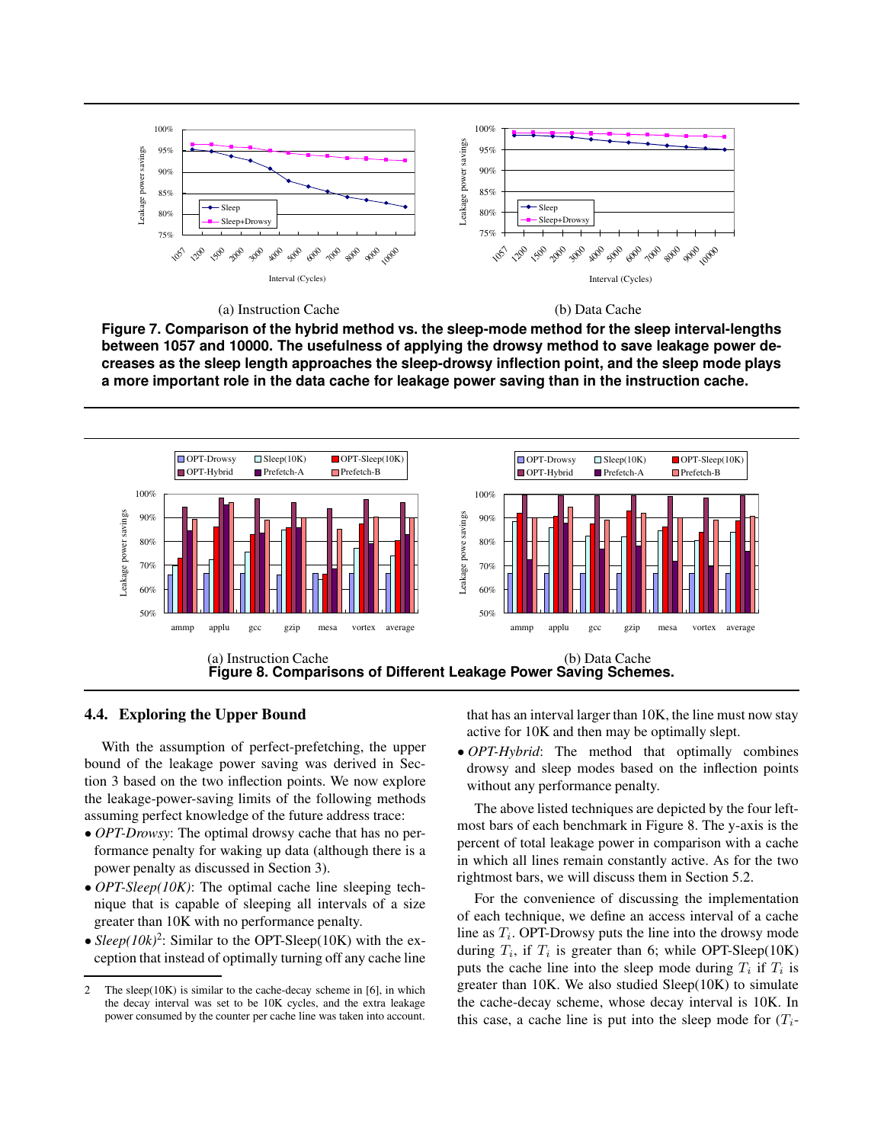



**Figure 7. Comparison of the hybrid method vs. the sleep-mode method for the sleep interval-lengths between 1057 and 10000. The usefulness of applying the drowsy method to save leakage power decreases as the sleep length approaches the sleep-drowsy inflection point, and the sleep mode plays a more important role in the data cache for leakage power saving than in the instruction cache.**



### **4.4. Exploring the Upper Bound**

With the assumption of perfect-prefetching, the upper bound of the leakage power saving was derived in Section 3 based on the two inflection points. We now explore the leakage-power-saving limits of the following methods assuming perfect knowledge of the future address trace:

- *OPT-Drowsy*: The optimal drowsy cache that has no performance penalty for waking up data (although there is a power penalty as discussed in Section 3).
- *OPT-Sleep(10K)*: The optimal cache line sleeping technique that is capable of sleeping all intervals of a size greater than 10K with no performance penalty.
- *Sleep*(10k)<sup>2</sup>: Similar to the OPT-Sleep(10K) with the exception that instead of optimally turning off any cache line

that has an interval larger than 10K, the line must now stay active for 10K and then may be optimally slept.

• *OPT-Hybrid*: The method that optimally combines drowsy and sleep modes based on the inflection points without any performance penalty.

The above listed techniques are depicted by the four leftmost bars of each benchmark in Figure 8. The y-axis is the percent of total leakage power in comparison with a cache in which all lines remain constantly active. As for the two rightmost bars, we will discuss them in Section 5.2.

For the convenience of discussing the implementation of each technique, we define an access interval of a cache line as  $T_i$ . OPT-Drowsy puts the line into the drowsy mode during  $T_i$ , if  $T_i$  is greater than 6; while OPT-Sleep(10K) puts the cache line into the sleep mode during  $T_i$  if  $T_i$  is greater than 10K. We also studied Sleep(10K) to simulate the cache-decay scheme, whose decay interval is 10K. In this case, a cache line is put into the sleep mode for  $(T_i$ -

<sup>2</sup> The sleep(10K) is similar to the cache-decay scheme in [6], in which the decay interval was set to be 10K cycles, and the extra leakage power consumed by the counter per cache line was taken into account.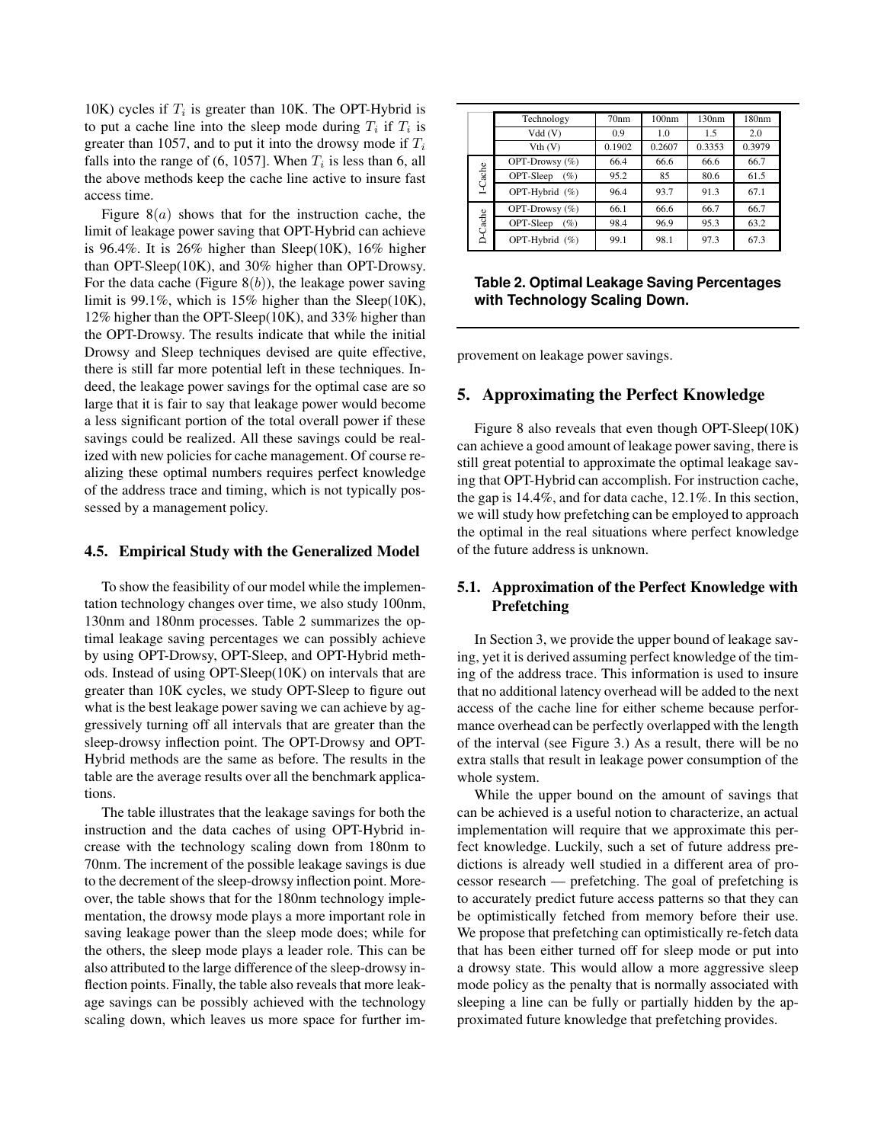10K) cycles if  $T_i$  is greater than 10K. The OPT-Hybrid is to put a cache line into the sleep mode during  $T_i$  if  $T_i$  is greater than 1057, and to put it into the drowsy mode if  $T_i$ falls into the range of (6, 1057). When  $T_i$  is less than 6, all the above methods keep the cache line active to insure fast access time.

Figure  $8(a)$  shows that for the instruction cache, the limit of leakage power saving that OPT-Hybrid can achieve is 96.4%. It is 26% higher than Sleep(10K), 16% higher than OPT-Sleep(10K), and 30% higher than OPT-Drowsy. For the data cache (Figure  $8(b)$ ), the leakage power saving limit is 99.1%, which is 15% higher than the Sleep(10K), 12% higher than the OPT-Sleep(10K), and 33% higher than the OPT-Drowsy. The results indicate that while the initial Drowsy and Sleep techniques devised are quite effective, there is still far more potential left in these techniques. Indeed, the leakage power savings for the optimal case are so large that it is fair to say that leakage power would become a less significant portion of the total overall power if these savings could be realized. All these savings could be realized with new policies for cache management. Of course realizing these optimal numbers requires perfect knowledge of the address trace and timing, which is not typically possessed by a management policy.

#### **4.5. Empirical Study with the Generalized Model**

To show the feasibility of our model while the implementation technology changes over time, we also study 100nm, 130nm and 180nm processes. Table 2 summarizes the optimal leakage saving percentages we can possibly achieve by using OPT-Drowsy, OPT-Sleep, and OPT-Hybrid methods. Instead of using OPT-Sleep(10K) on intervals that are greater than 10K cycles, we study OPT-Sleep to figure out what is the best leakage power saving we can achieve by aggressively turning off all intervals that are greater than the sleep-drowsy inflection point. The OPT-Drowsy and OPT-Hybrid methods are the same as before. The results in the table are the average results over all the benchmark applications.

The table illustrates that the leakage savings for both the instruction and the data caches of using OPT-Hybrid increase with the technology scaling down from 180nm to 70nm. The increment of the possible leakage savings is due to the decrement of the sleep-drowsy inflection point. Moreover, the table shows that for the 180nm technology implementation, the drowsy mode plays a more important role in saving leakage power than the sleep mode does; while for the others, the sleep mode plays a leader role. This can be also attributed to the large difference of the sleep-drowsy inflection points. Finally, the table also reveals that more leakage savings can be possibly achieved with the technology scaling down, which leaves us more space for further im-

|         | Technology        | 70 <sub>nm</sub> | 100nm  | 130nm  | 180 <sub>nm</sub> |
|---------|-------------------|------------------|--------|--------|-------------------|
|         | Vdd(V)            | 0.9              | 1.0    | 1.5    | 2.0               |
|         | Vth (V)           | 0.1902           | 0.2607 | 0.3353 | 0.3979            |
|         | OPT-Drowsy (%)    | 66.4             | 66.6   | 66.6   | 66.7              |
| I-Cache | OPT-Sleep $(\% )$ | 95.2             | 85     | 80.6   | 61.5              |
|         | OPT-Hybrid (%)    | 96.4             | 93.7   | 91.3   | 67.1              |
|         | OPT-Drowsy (%)    | 66.1             | 66.6   | 66.7   | 66.7              |
| D-Cache | OPT-Sleep<br>(%)  | 98.4             | 96.9   | 95.3   | 63.2              |
|         | OPT-Hybrid (%)    | 99.1             | 98.1   | 97.3   | 67.3              |

**Table 2. Optimal Leakage Saving Percentages with Technology Scaling Down.**

provement on leakage power savings.

### **5. Approximating the Perfect Knowledge**

Figure 8 also reveals that even though OPT-Sleep(10K) can achieve a good amount of leakage power saving, there is still great potential to approximate the optimal leakage saving that OPT-Hybrid can accomplish. For instruction cache, the gap is 14.4%, and for data cache, 12.1%. In this section, we will study how prefetching can be employed to approach the optimal in the real situations where perfect knowledge of the future address is unknown.

## **5.1. Approximation of the Perfect Knowledge with Prefetching**

In Section 3, we provide the upper bound of leakage saving, yet it is derived assuming perfect knowledge of the timing of the address trace. This information is used to insure that no additional latency overhead will be added to the next access of the cache line for either scheme because performance overhead can be perfectly overlapped with the length of the interval (see Figure 3.) As a result, there will be no extra stalls that result in leakage power consumption of the whole system.

While the upper bound on the amount of savings that can be achieved is a useful notion to characterize, an actual implementation will require that we approximate this perfect knowledge. Luckily, such a set of future address predictions is already well studied in a different area of processor research — prefetching. The goal of prefetching is to accurately predict future access patterns so that they can be optimistically fetched from memory before their use. We propose that prefetching can optimistically re-fetch data that has been either turned off for sleep mode or put into a drowsy state. This would allow a more aggressive sleep mode policy as the penalty that is normally associated with sleeping a line can be fully or partially hidden by the approximated future knowledge that prefetching provides.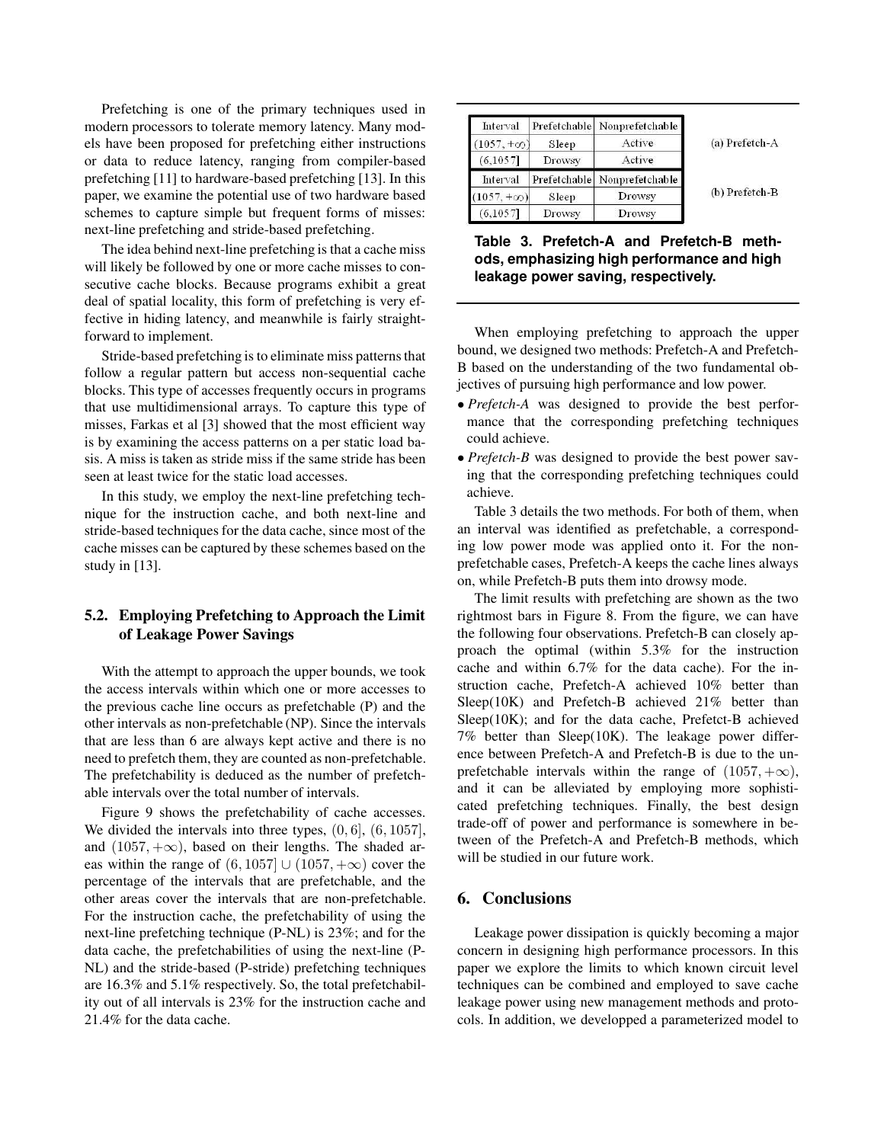Prefetching is one of the primary techniques used in modern processors to tolerate memory latency. Many models have been proposed for prefetching either instructions or data to reduce latency, ranging from compiler-based prefetching [11] to hardware-based prefetching [13]. In this paper, we examine the potential use of two hardware based schemes to capture simple but frequent forms of misses: next-line prefetching and stride-based prefetching.

The idea behind next-line prefetching is that a cache miss will likely be followed by one or more cache misses to consecutive cache blocks. Because programs exhibit a great deal of spatial locality, this form of prefetching is very effective in hiding latency, and meanwhile is fairly straightforward to implement.

Stride-based prefetching is to eliminate miss patterns that follow a regular pattern but access non-sequential cache blocks. This type of accesses frequently occurs in programs that use multidimensional arrays. To capture this type of misses, Farkas et al [3] showed that the most efficient way is by examining the access patterns on a per static load basis. A miss is taken as stride miss if the same stride has been seen at least twice for the static load accesses.

In this study, we employ the next-line prefetching technique for the instruction cache, and both next-line and stride-based techniques for the data cache, since most of the cache misses can be captured by these schemes based on the study in [13].

### **5.2. Employing Prefetching to Approach the Limit of Leakage Power Savings**

With the attempt to approach the upper bounds, we took the access intervals within which one or more accesses to the previous cache line occurs as prefetchable (P) and the other intervals as non-prefetchable (NP). Since the intervals that are less than 6 are always kept active and there is no need to prefetch them, they are counted as non-prefetchable. The prefetchability is deduced as the number of prefetchable intervals over the total number of intervals.

Figure 9 shows the prefetchability of cache accesses. We divided the intervals into three types,  $(0, 6)$ ,  $(6, 1057)$ , and  $(1057, +\infty)$ , based on their lengths. The shaded areas within the range of  $(6, 1057] \cup (1057, +\infty)$  cover the percentage of the intervals that are prefetchable, and the other areas cover the intervals that are non-prefetchable. For the instruction cache, the prefetchability of using the next-line prefetching technique (P-NL) is 23%; and for the data cache, the prefetchabilities of using the next-line (P-NL) and the stride-based (P-stride) prefetching techniques are 16.3% and 5.1% respectively. So, the total prefetchability out of all intervals is 23% for the instruction cache and 21.4% for the data cache.

| Interval          | Prefetchable | Nonprefetchable |
|-------------------|--------------|-----------------|
| $(1057, +\infty)$ | Sleep        | Active          |
| (6,1057]          | Drowsy       | Active          |
| Interval          | Prefetchable | Nonprefetchable |
| $(1057, +\infty)$ | Sleep        | <b>Drowsy</b>   |
| (6, 1057]         | Drowsy       | Drowsy          |

) Prefetch-A

) Prefetch-B

**Table 3. Prefetch-A and Prefetch-B methods, emphasizing high performance and high leakage power saving, respectively.**

When employing prefetching to approach the upper bound, we designed two methods: Prefetch-A and Prefetch-B based on the understanding of the two fundamental objectives of pursuing high performance and low power.

- *Prefetch-A* was designed to provide the best performance that the corresponding prefetching techniques could achieve.
- *Prefetch-B* was designed to provide the best power saving that the corresponding prefetching techniques could achieve.

Table 3 details the two methods. For both of them, when an interval was identified as prefetchable, a corresponding low power mode was applied onto it. For the nonprefetchable cases, Prefetch-A keeps the cache lines always on, while Prefetch-B puts them into drowsy mode.

The limit results with prefetching are shown as the two rightmost bars in Figure 8. From the figure, we can have the following four observations. Prefetch-B can closely approach the optimal (within 5.3% for the instruction cache and within 6.7% for the data cache). For the instruction cache, Prefetch-A achieved 10% better than Sleep(10K) and Prefetch-B achieved 21% better than Sleep(10K); and for the data cache, Prefetct-B achieved 7% better than Sleep(10K). The leakage power difference between Prefetch-A and Prefetch-B is due to the unprefetchable intervals within the range of  $(1057, +\infty)$ , and it can be alleviated by employing more sophisticated prefetching techniques. Finally, the best design trade-off of power and performance is somewhere in between of the Prefetch-A and Prefetch-B methods, which will be studied in our future work.

### **6. Conclusions**

Leakage power dissipation is quickly becoming a major concern in designing high performance processors. In this paper we explore the limits to which known circuit level techniques can be combined and employed to save cache leakage power using new management methods and protocols. In addition, we developped a parameterized model to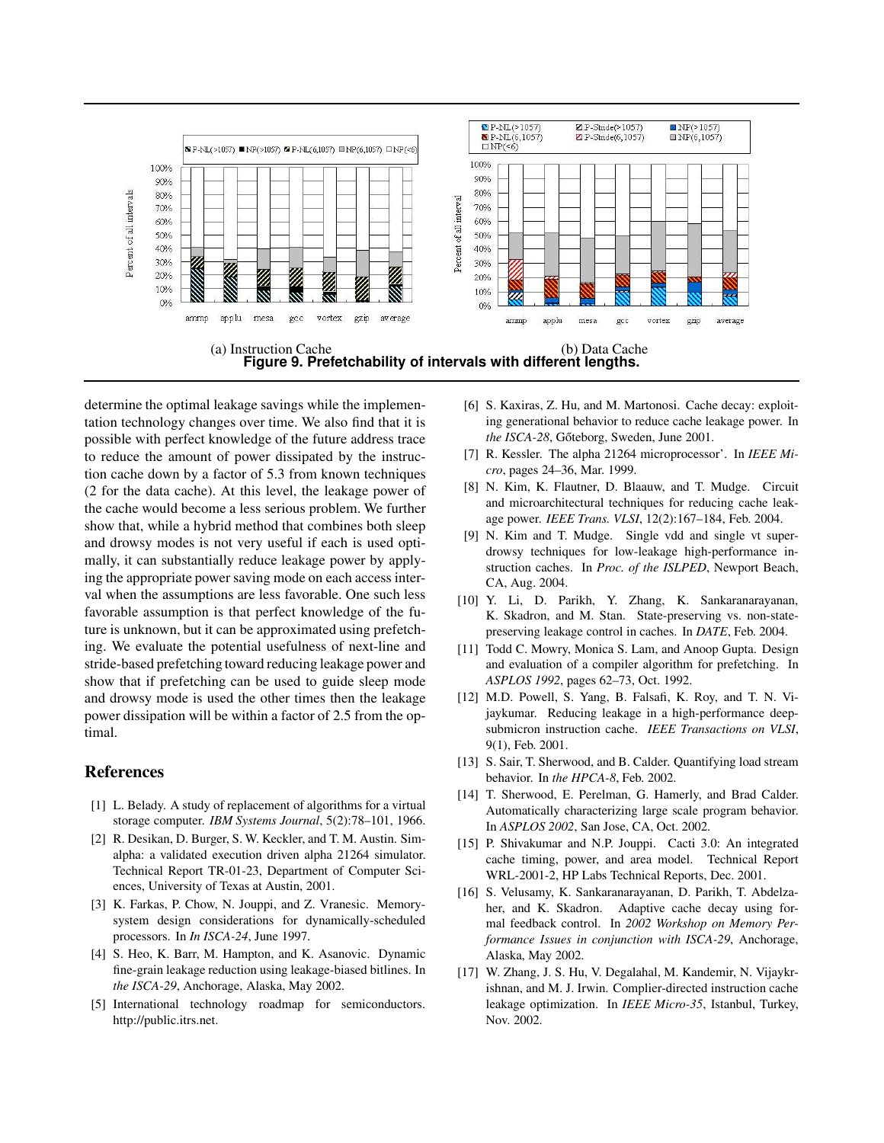

determine the optimal leakage savings while the implementation technology changes over time. We also find that it is possible with perfect knowledge of the future address trace to reduce the amount of power dissipated by the instruction cache down by a factor of 5.3 from known techniques (2 for the data cache). At this level, the leakage power of the cache would become a less serious problem. We further show that, while a hybrid method that combines both sleep and drowsy modes is not very useful if each is used optimally, it can substantially reduce leakage power by applying the appropriate power saving mode on each access interval when the assumptions are less favorable. One such less favorable assumption is that perfect knowledge of the future is unknown, but it can be approximated using prefetching. We evaluate the potential usefulness of next-line and stride-based prefetching toward reducing leakage power and show that if prefetching can be used to guide sleep mode and drowsy mode is used the other times then the leakage power dissipation will be within a factor of 2.5 from the optimal.

### **References**

- [1] L. Belady. A study of replacement of algorithms for a virtual storage computer. *IBM Systems Journal*, 5(2):78–101, 1966.
- [2] R. Desikan, D. Burger, S. W. Keckler, and T. M. Austin. Simalpha: a validated execution driven alpha 21264 simulator. Technical Report TR-01-23, Department of Computer Sciences, University of Texas at Austin, 2001.
- [3] K. Farkas, P. Chow, N. Jouppi, and Z. Vranesic. Memorysystem design considerations for dynamically-scheduled processors. In *In ISCA-24*, June 1997.
- [4] S. Heo, K. Barr, M. Hampton, and K. Asanovic. Dynamic fine-grain leakage reduction using leakage-biased bitlines. In *the ISCA-29*, Anchorage, Alaska, May 2002.
- [5] International technology roadmap for semiconductors. http://public.itrs.net.
- [6] S. Kaxiras, Z. Hu, and M. Martonosi. Cache decay: exploiting generational behavior to reduce cache leakage power. In *the ISCA-28*, Gőteborg, Sweden, June 2001.
- [7] R. Kessler. The alpha 21264 microprocessor'. In *IEEE Micro*, pages 24–36, Mar. 1999.
- [8] N. Kim, K. Flautner, D. Blaauw, and T. Mudge. Circuit and microarchitectural techniques for reducing cache leakage power. *IEEE Trans. VLSI*, 12(2):167–184, Feb. 2004.
- [9] N. Kim and T. Mudge. Single vdd and single vt superdrowsy techniques for low-leakage high-performance instruction caches. In *Proc. of the ISLPED*, Newport Beach, CA, Aug. 2004.
- [10] Y. Li, D. Parikh, Y. Zhang, K. Sankaranarayanan, K. Skadron, and M. Stan. State-preserving vs. non-statepreserving leakage control in caches. In *DATE*, Feb. 2004.
- [11] Todd C. Mowry, Monica S. Lam, and Anoop Gupta. Design and evaluation of a compiler algorithm for prefetching. In *ASPLOS 1992*, pages 62–73, Oct. 1992.
- [12] M.D. Powell, S. Yang, B. Falsafi, K. Roy, and T. N. Vijaykumar. Reducing leakage in a high-performance deepsubmicron instruction cache. *IEEE Transactions on VLSI*, 9(1), Feb. 2001.
- [13] S. Sair, T. Sherwood, and B. Calder. Quantifying load stream behavior. In *the HPCA-8*, Feb. 2002.
- [14] T. Sherwood, E. Perelman, G. Hamerly, and Brad Calder. Automatically characterizing large scale program behavior. In *ASPLOS 2002*, San Jose, CA, Oct. 2002.
- [15] P. Shivakumar and N.P. Jouppi. Cacti 3.0: An integrated cache timing, power, and area model. Technical Report WRL-2001-2, HP Labs Technical Reports, Dec. 2001.
- [16] S. Velusamy, K. Sankaranarayanan, D. Parikh, T. Abdelzaher, and K. Skadron. Adaptive cache decay using formal feedback control. In *2002 Workshop on Memory Performance Issues in conjunction with ISCA-29*, Anchorage, Alaska, May 2002.
- [17] W. Zhang, J. S. Hu, V. Degalahal, M. Kandemir, N. Vijaykrishnan, and M. J. Irwin. Complier-directed instruction cache leakage optimization. In *IEEE Micro-35*, Istanbul, Turkey, Nov. 2002.